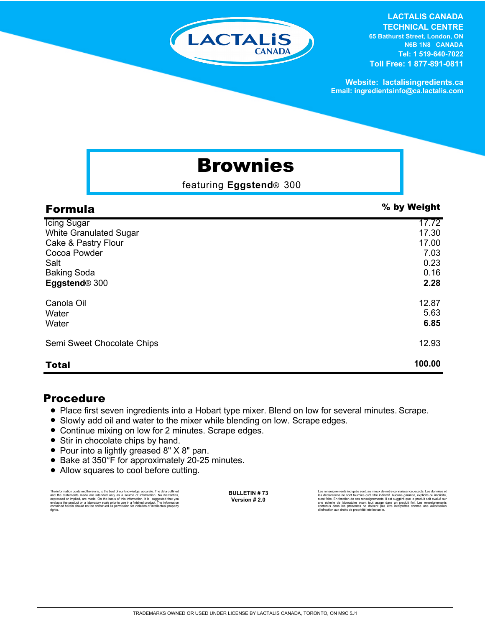

#### **LACTALIS CANADA TECHNICAL CENTRE 65 Bathurst Street, London, ON N6B 1N8 CANADA Tel: 1 519-640-7022 Toll Free: 1 877-891-0811**

**Website: lactalisingredients.ca Email: ingredientsinfo@ca.lactalis.com**

# Brownies

featuring **Eggstend**® 300

| <b>Formula</b>                | % by Weight |
|-------------------------------|-------------|
| <b>Icing Sugar</b>            | 17.72       |
| <b>White Granulated Sugar</b> | 17.30       |
| Cake & Pastry Flour           | 17.00       |
| Cocoa Powder                  | 7.03        |
| Salt                          | 0.23        |
| <b>Baking Soda</b>            | 0.16        |
| Eggstend <sup>®</sup> 300     | 2.28        |
| Canola Oil                    | 12.87       |
| Water                         | 5.63        |
| Water                         | 6.85        |
| Semi Sweet Chocolate Chips    | 12.93       |
| <b>Total</b>                  | 100.00      |

### Procedure

- Place first seven ingredients into a Hobart type mixer. Blend on low for several minutes. Scrape.
- Slowly add oil and water to the mixer while blending on low. Scrape edges.
- Continue mixing on low for 2 minutes. Scrape edges.
- Stir in chocolate chips by hand.
- Pour into a lightly greased 8" X 8" pan.
- Bake at 350°F for approximately 20-25 minutes.
- Allow squares to cool before cutting.

The information contained herein is, to the best of our knowledge, accurate. The data cutlined the statements made are intended only as a source of information. No warranties, expressed or implied, are made. On the basis o

**BULLETIN # 73 Version # 2.0**

Les rensejanements indiqués sont, au mieux de notre connaissance, exacts. Les données et<br>les déclarations ne sont fournies qu'à titre indicatif. Aucune garantie, explicite ou implicite,<br>riest faite. En fonction de ces rens